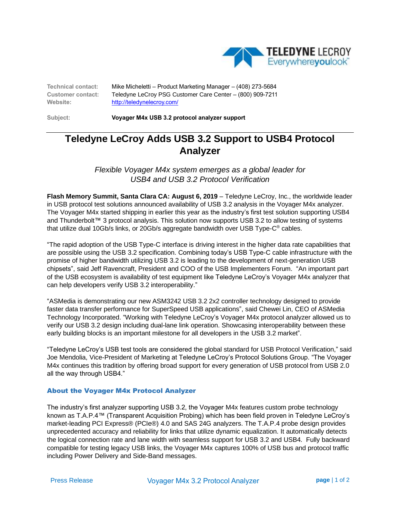

**Technical contact:** Mike Micheletti – Product Marketing Manager – (408) 273-5684 **Customer contact:** Teledyne LeCroy PSG Customer Care Center – (800) 909-7211 **Website:** <http://teledynelecroy.com/>

**Subject: Voyager M4x USB 3.2 protocol analyzer support** 

## **Teledyne LeCroy Adds USB 3.2 Support to USB4 Protocol Analyzer**

*Flexible Voyager M4x system emerges as a global leader for USB4 and USB 3.2 Protocol Verification*

**Flash Memory Summit, Santa Clara CA: August 6, 2019** – Teledyne LeCroy, Inc., the worldwide leader in USB protocol test solutions announced availability of USB 3.2 analysis in the Voyager M4x analyzer. The Voyager M4x started shipping in earlier this year as the industry's first test solution supporting USB4 and Thunderbolt™ 3 protocol analysis. This solution now supports USB 3.2 to allow testing of systems that utilize dual 10Gb/s links, or 20Gb/s aggregate bandwidth over USB Type-C® cables.

"The rapid adoption of the USB Type-C interface is driving interest in the higher data rate capabilities that are possible using the USB 3.2 specification. Combining today's USB Type-C cable infrastructure with the promise of higher bandwidth utilizing USB 3.2 is leading to the development of next-generation USB chipsets", said Jeff Ravencraft, President and COO of the USB Implementers Forum. "An important part of the USB ecosystem is availability of test equipment like Teledyne LeCroy's Voyager M4x analyzer that can help developers verify USB 3.2 interoperability."

"ASMedia is demonstrating our new ASM3242 USB 3.2 2x2 controller technology designed to provide faster data transfer performance for SuperSpeed USB applications", said Chewei Lin, CEO of ASMedia Technology Incorporated. "Working with Teledyne LeCroy's Voyager M4x protocol analyzer allowed us to verify our USB 3.2 design including dual-lane link operation. Showcasing interoperability between these early building blocks is an important milestone for all developers in the USB 3.2 market".

"Teledyne LeCroy's USB test tools are considered the global standard for USB Protocol Verification," said Joe Mendolia, Vice-President of Marketing at Teledyne LeCroy's Protocol Solutions Group. "The Voyager M4x continues this tradition by offering broad support for every generation of USB protocol from USB 2.0 all the way through USB4."

## About the Voyager M4x Protocol Analyzer

The industry's first analyzer supporting USB 3.2, the Voyager M4x features custom probe technology known as T.A.P.4™ (Transparent Acquisition Probing) which has been field proven in Teledyne LeCroy's market-leading PCI Express® (PCIe®) 4.0 and SAS 24G analyzers. The T.A.P.4 probe design provides unprecedented accuracy and reliability for links that utilize dynamic equalization. It automatically detects the logical connection rate and lane width with seamless support for USB 3.2 and USB4. Fully backward compatible for testing legacy USB links, the Voyager M4x captures 100% of USB bus and protocol traffic including Power Delivery and Side-Band messages.